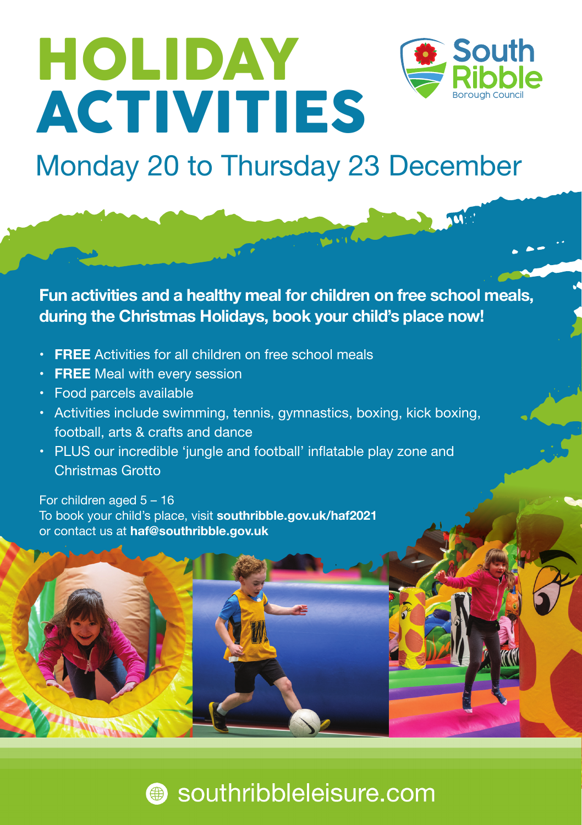# HOLIDAY **ACTIVITIES**



## Monday 20 to Thursday 23 December

**Fun activities and a healthy meal for children on free school meals, during the Christmas Holidays, book your child's place now!**

- • **FREE** Activities for all children on free school meals
- • **FREE** Meal with every session
- • Food parcels available
- Activities include swimming, tennis, gymnastics, boxing, kick boxing, football, arts & crafts and dance
- PLUS our incredible 'jungle and football' inflatable play zone and Christmas Grotto

For children aged 5 – 16 To book your child's place, visit **southribble.gov.uk/haf2021** or contact us at **haf@southribble.gov.uk**

## southribbleleisure.com